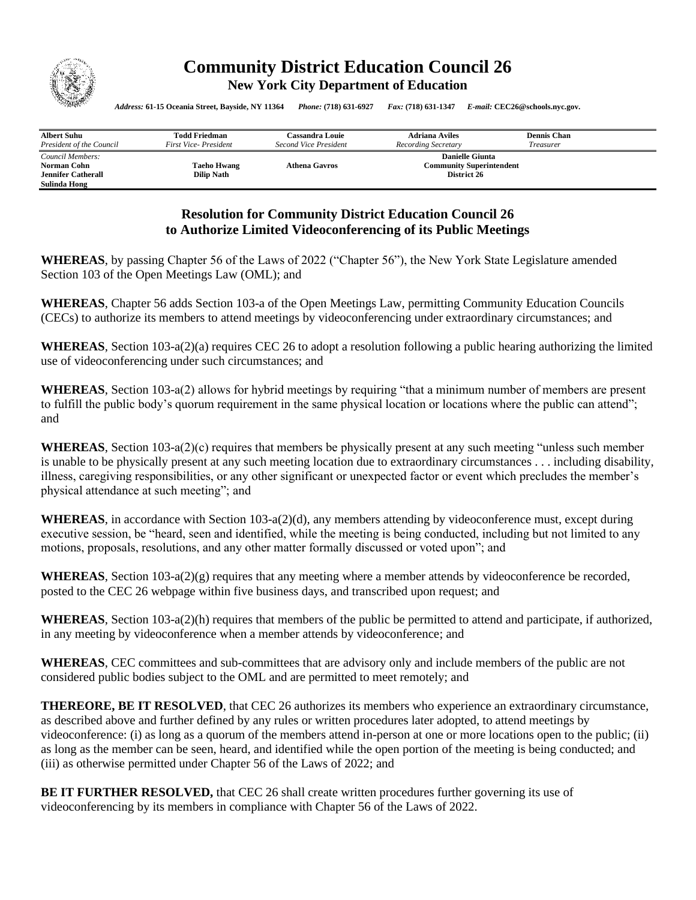

## **Community District Education Council 26 New York City Department of Education**

*Address:* **61-15 Oceania Street, Bayside, NY 11364** *Phone:* **(718) 631-6927** *Fax:* **(718) 631-1347** *E-mail:* **CEC26@schools.nyc.gov.**

| <b>Albert Suhu</b>        | <b>Todd Friedman</b>        | <b>Cassandra Louie</b> | <b>Adriana Aviles</b>           | <b>Dennis Chan</b> |  |
|---------------------------|-----------------------------|------------------------|---------------------------------|--------------------|--|
| President of the Council  | <b>First Vice-President</b> | Second Vice President  | Recording Secretary             | Treasurer          |  |
| Council Members:          |                             | <b>Danielle Giunta</b> |                                 |                    |  |
| Norman Cohn               | <b>Taeho Hwang</b>          | <b>Athena Gavros</b>   | <b>Community Superintendent</b> |                    |  |
| <b>Jennifer Catherall</b> | <b>Dilip Nath</b>           |                        | District 26                     |                    |  |
| Sulinda Hong              |                             |                        |                                 |                    |  |

## **Resolution for Community District Education Council 26 to Authorize Limited Videoconferencing of its Public Meetings**

**WHEREAS**, by passing Chapter 56 of the Laws of 2022 ("Chapter 56"), the New York State Legislature amended Section 103 of the Open Meetings Law (OML); and

**WHEREAS**, Chapter 56 adds Section 103-a of the Open Meetings Law, permitting Community Education Councils (CECs) to authorize its members to attend meetings by videoconferencing under extraordinary circumstances; and

**WHEREAS**, Section 103-a(2)(a) requires CEC 26 to adopt a resolution following a public hearing authorizing the limited use of videoconferencing under such circumstances; and

**WHEREAS**, Section 103-a(2) allows for hybrid meetings by requiring "that a minimum number of members are present to fulfill the public body's quorum requirement in the same physical location or locations where the public can attend"; and

**WHEREAS**, Section 103-a(2)(c) requires that members be physically present at any such meeting "unless such member is unable to be physically present at any such meeting location due to extraordinary circumstances . . . including disability, illness, caregiving responsibilities, or any other significant or unexpected factor or event which precludes the member's physical attendance at such meeting"; and

**WHEREAS**, in accordance with Section 103-a(2)(d), any members attending by videoconference must, except during executive session, be "heard, seen and identified, while the meeting is being conducted, including but not limited to any motions, proposals, resolutions, and any other matter formally discussed or voted upon"; and

**WHEREAS**, Section  $103-a(2)(g)$  requires that any meeting where a member attends by videoconference be recorded, posted to the CEC 26 webpage within five business days, and transcribed upon request; and

**WHEREAS**, Section 103-a(2)(h) requires that members of the public be permitted to attend and participate, if authorized, in any meeting by videoconference when a member attends by videoconference; and

**WHEREAS**, CEC committees and sub-committees that are advisory only and include members of the public are not considered public bodies subject to the OML and are permitted to meet remotely; and

**THEREORE, BE IT RESOLVED**, that CEC 26 authorizes its members who experience an extraordinary circumstance, as described above and further defined by any rules or written procedures later adopted, to attend meetings by videoconference: (i) as long as a quorum of the members attend in-person at one or more locations open to the public; (ii) as long as the member can be seen, heard, and identified while the open portion of the meeting is being conducted; and (iii) as otherwise permitted under Chapter 56 of the Laws of 2022; and

**BE IT FURTHER RESOLVED, that CEC 26 shall create written procedures further governing its use of** videoconferencing by its members in compliance with Chapter 56 of the Laws of 2022.